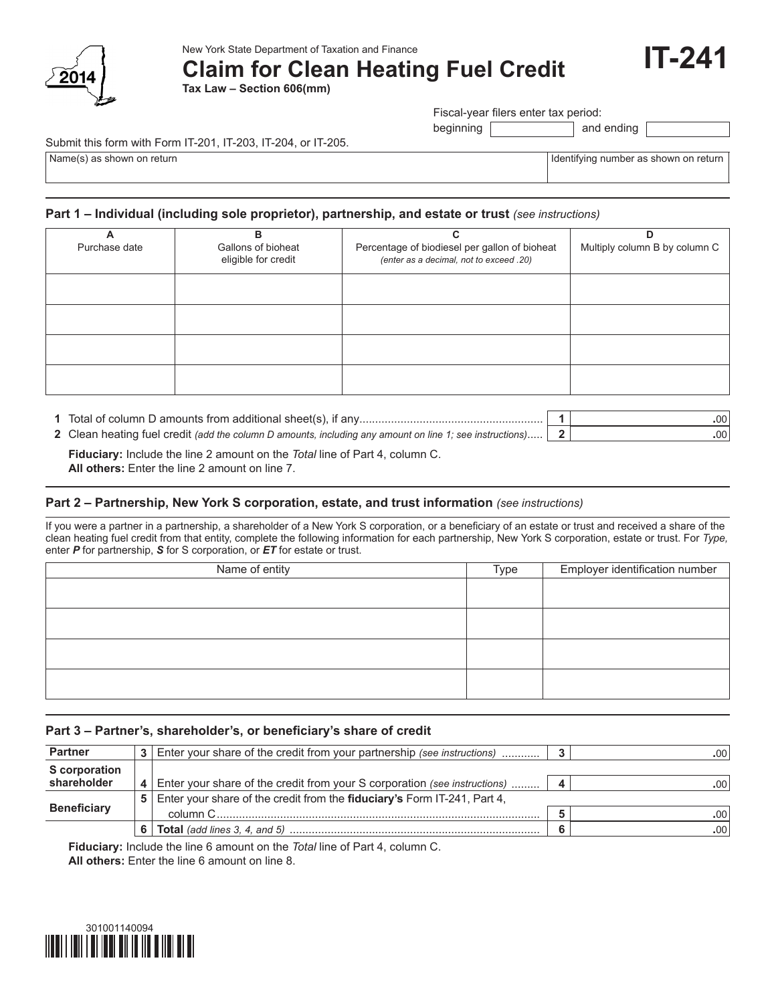

# **Claim for Clean Heating Fuel Credit**

**Tax Law – Section 606(mm)**

Fiscal-year filers enter tax period:

beginning and ending

#### Submit this form with Form IT-201, IT-203, IT-204, or IT-205.

Name(s) as shown on return **Identifying number as shown on return** Identifying number as shown on return

**IT-241**

#### **Part 1 – Individual (including sole proprietor), partnership, and estate or trust** *(see instructions)*

| А             | в                   | C                                             | D                             |
|---------------|---------------------|-----------------------------------------------|-------------------------------|
| Purchase date | Gallons of bioheat  | Percentage of biodiesel per gallon of bioheat | Multiply column B by column C |
|               | eligible for credit | (enter as a decimal, not to exceed .20)       |                               |
|               |                     |                                               |                               |
|               |                     |                                               |                               |
|               |                     |                                               |                               |
|               |                     |                                               |                               |
|               |                     |                                               |                               |
|               |                     |                                               |                               |
|               |                     |                                               |                               |
|               |                     |                                               |                               |
|               |                     |                                               |                               |
|               |                     |                                               |                               |

| 1 Total of column D amounts from additional sheet(s), if any | .00 |
|--------------------------------------------------------------|-----|
|                                                              |     |

 **Fiduciary:** Include the line 2 amount on the *Total* line of Part 4, column C. **2** Clean heating fuel credit *(add the column D amounts, including any amount on line 1; see instructions)*..... **2 .**00

 **All others:** Enter the line 2 amount on line 7.

#### **Part 2 – Partnership, New York S corporation, estate, and trust information** *(see instructions)*

If you were a partner in a partnership, a shareholder of a New York S corporation, or a beneficiary of an estate or trust and received a share of the clean heating fuel credit from that entity, complete the following information for each partnership, New York S corporation, estate or trust. For *Type,* enter *P* for partnership, *S* for S corporation, or *ET* for estate or trust.

| Name of entity | Type | Employer identification number |
|----------------|------|--------------------------------|
|                |      |                                |
|                |      |                                |
|                |      |                                |
|                |      |                                |
|                |      |                                |
|                |      |                                |
|                |      |                                |
|                |      |                                |

#### **Part 3 – Partner's, shareholder's, or beneficiary's share of credit**

| <b>Partner</b>       | Enter your share of the credit from your partnership (see instructions) |                                                                           |  | $.00^{\circ}$ |
|----------------------|-------------------------------------------------------------------------|---------------------------------------------------------------------------|--|---------------|
| <b>S</b> corporation |                                                                         |                                                                           |  |               |
| shareholder          |                                                                         | Enter your share of the credit from your S corporation (see instructions) |  | .00           |
|                      | 51                                                                      | Enter your share of the credit from the fiduciary's Form IT-241, Part 4,  |  |               |
| <b>Beneficiary</b>   |                                                                         | column C                                                                  |  | .00.          |
|                      |                                                                         |                                                                           |  | $.00^{\circ}$ |

 **Fiduciary:** Include the line 6 amount on the *Total* line of Part 4, column C.

 **All others:** Enter the line 6 amount on line 8.